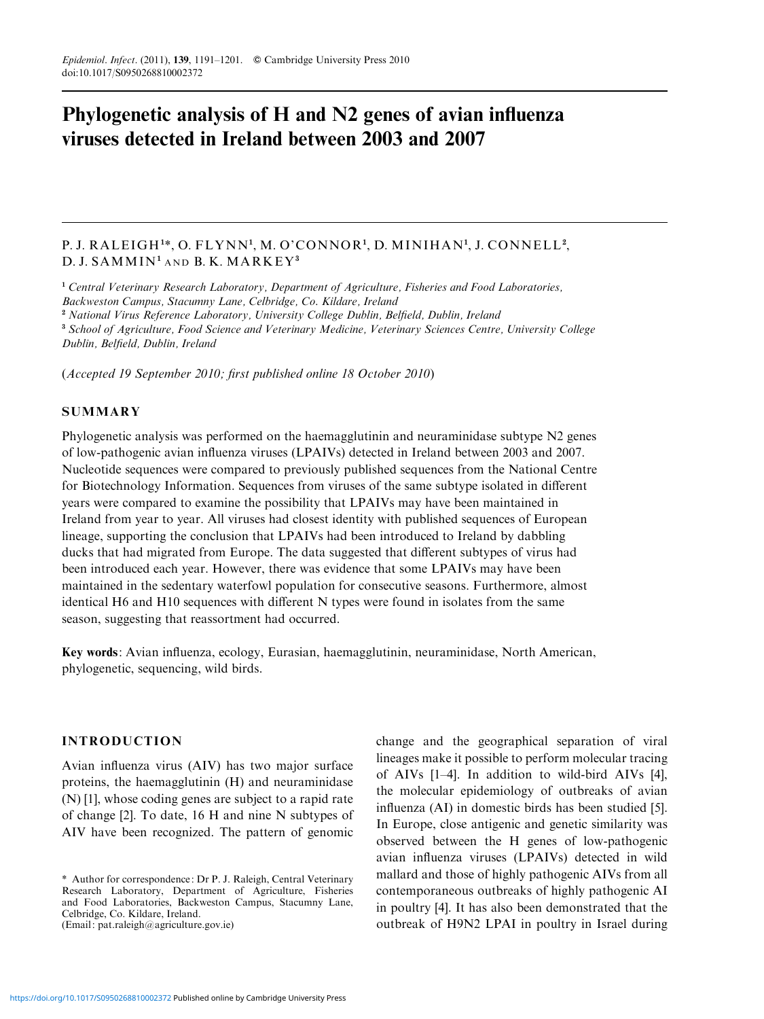# Phylogenetic analysis of H and N2 genes of avian influenza viruses detected in Ireland between 2003 and 2007

## P. J. RALEIGH1\*, O. FLYNN<sup>1</sup>, M. O'CONNOR<sup>1</sup>, D. MINIHAN<sup>1</sup>, J. CONNELL<sup>2</sup>,  $D. J. SAMMIN<sup>1</sup> AND B. K. MARK EY<sup>3</sup>$

<sup>1</sup> Central Veterinary Research Laboratory, Department of Agriculture, Fisheries and Food Laboratories, Backweston Campus, Stacumny Lane, Celbridge, Co. Kildare, Ireland <sup>2</sup> National Virus Reference Laboratory, University College Dublin, Belfield, Dublin, Ireland <sup>3</sup> School of Agriculture, Food Science and Veterinary Medicine, Veterinary Sciences Centre, University College

Dublin, Belfield, Dublin, Ireland

(Accepted 19 September 2010; first published online 18 October 2010)

## **SUMMARY**

Phylogenetic analysis was performed on the haemagglutinin and neuraminidase subtype N2 genes of low-pathogenic avian influenza viruses (LPAIVs) detected in Ireland between 2003 and 2007. Nucleotide sequences were compared to previously published sequences from the National Centre for Biotechnology Information. Sequences from viruses of the same subtype isolated in different years were compared to examine the possibility that LPAIVs may have been maintained in Ireland from year to year. All viruses had closest identity with published sequences of European lineage, supporting the conclusion that LPAIVs had been introduced to Ireland by dabbling ducks that had migrated from Europe. The data suggested that different subtypes of virus had been introduced each year. However, there was evidence that some LPAIVs may have been maintained in the sedentary waterfowl population for consecutive seasons. Furthermore, almost identical H6 and H10 sequences with different N types were found in isolates from the same season, suggesting that reassortment had occurred.

Key words: Avian influenza, ecology, Eurasian, haemagglutinin, neuraminidase, North American, phylogenetic, sequencing, wild birds.

## INTRODUCTION

Avian influenza virus (AIV) has two major surface proteins, the haemagglutinin (H) and neuraminidase (N) [1], whose coding genes are subject to a rapid rate of change [2]. To date, 16 H and nine N subtypes of AIV have been recognized. The pattern of genomic

change and the geographical separation of viral lineages make it possible to perform molecular tracing of AIVs [1–4]. In addition to wild-bird AIVs [4], the molecular epidemiology of outbreaks of avian influenza (AI) in domestic birds has been studied [5]. In Europe, close antigenic and genetic similarity was observed between the H genes of low-pathogenic avian influenza viruses (LPAIVs) detected in wild mallard and those of highly pathogenic AIVs from all contemporaneous outbreaks of highly pathogenic AI in poultry [4]. It has also been demonstrated that the outbreak of H9N2 LPAI in poultry in Israel during

<sup>\*</sup> Author for correspondence: Dr P. J. Raleigh, Central Veterinary Research Laboratory, Department of Agriculture, Fisheries and Food Laboratories, Backweston Campus, Stacumny Lane, Celbridge, Co. Kildare, Ireland. (Email: pat.raleigh@agriculture.gov.ie)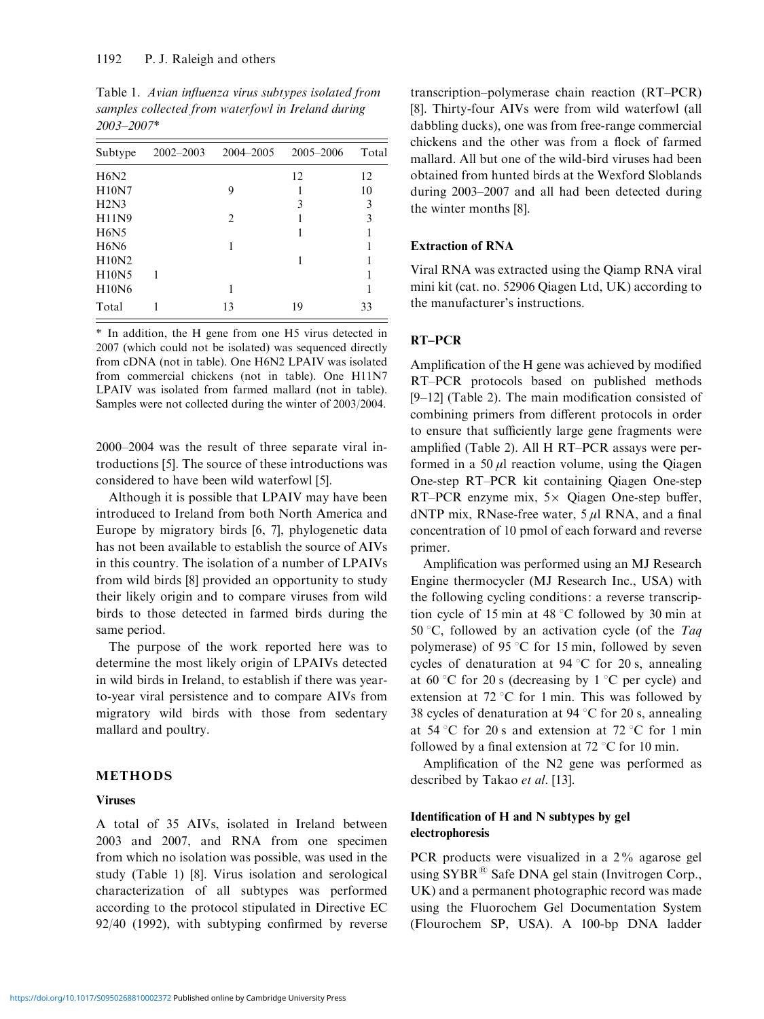| Subtype      | $2002 - 2003$ | 2004-2005      | 2005-2006 | Total |
|--------------|---------------|----------------|-----------|-------|
| H6N2         |               |                | 12        | 12    |
| H10N7        |               | 9              |           | 10    |
| H2N3         |               |                | 3         | 3     |
| H11N9        |               | $\mathfrak{D}$ |           | 3     |
| <b>H6N5</b>  |               |                |           |       |
| <b>H6N6</b>  |               |                |           |       |
| H10N2        |               |                |           |       |
| H10N5        |               |                |           |       |
| <b>H10N6</b> |               |                |           |       |
| Total        |               | 13             | 19        | 33    |
|              |               |                |           |       |

Table 1. Avian influenza virus subtypes isolated from samples collected from waterfowl in Ireland during 2003–2007\*

\* In addition, the H gene from one H5 virus detected in 2007 (which could not be isolated) was sequenced directly from cDNA (not in table). One H6N2 LPAIV was isolated from commercial chickens (not in table). One H11N7 LPAIV was isolated from farmed mallard (not in table). Samples were not collected during the winter of 2003/2004.

2000–2004 was the result of three separate viral introductions [5]. The source of these introductions was considered to have been wild waterfowl [5].

Although it is possible that LPAIV may have been introduced to Ireland from both North America and Europe by migratory birds [6, 7], phylogenetic data has not been available to establish the source of AIVs in this country. The isolation of a number of LPAIVs from wild birds [8] provided an opportunity to study their likely origin and to compare viruses from wild birds to those detected in farmed birds during the same period.

The purpose of the work reported here was to determine the most likely origin of LPAIVs detected in wild birds in Ireland, to establish if there was yearto-year viral persistence and to compare AIVs from migratory wild birds with those from sedentary mallard and poultry.

## METHODS

#### Viruses

A total of 35 AIVs, isolated in Ireland between 2003 and 2007, and RNA from one specimen from which no isolation was possible, was used in the study (Table 1) [8]. Virus isolation and serological characterization of all subtypes was performed according to the protocol stipulated in Directive EC 92/40 (1992), with subtyping confirmed by reverse transcription–polymerase chain reaction (RT–PCR) [8]. Thirty-four AIVs were from wild waterfowl (all dabbling ducks), one was from free-range commercial chickens and the other was from a flock of farmed mallard. All but one of the wild-bird viruses had been obtained from hunted birds at the Wexford Sloblands during 2003–2007 and all had been detected during the winter months [8].

## Extraction of RNA

Viral RNA was extracted using the Qiamp RNA viral mini kit (cat. no. 52906 Qiagen Ltd, UK) according to the manufacturer's instructions.

## RT–PCR

Amplification of the H gene was achieved by modified RT–PCR protocols based on published methods [9–12] (Table 2). The main modification consisted of combining primers from different protocols in order to ensure that sufficiently large gene fragments were amplified (Table 2). All H RT–PCR assays were performed in a 50  $\mu$ l reaction volume, using the Oiagen One-step RT–PCR kit containing Qiagen One-step RT–PCR enzyme mix,  $5 \times$  Qiagen One-step buffer, dNTP mix, RNase-free water,  $5 \mu$ l RNA, and a final concentration of 10 pmol of each forward and reverse primer.

Amplification was performed using an MJ Research Engine thermocycler (MJ Research Inc., USA) with the following cycling conditions: a reverse transcription cycle of 15 min at 48  $\degree$ C followed by 30 min at 50 °C, followed by an activation cycle (of the Taq polymerase) of 95  $\degree$ C for 15 min, followed by seven cycles of denaturation at 94 °C for 20 s, annealing at 60 °C for 20 s (decreasing by  $1$  °C per cycle) and extension at 72 °C for 1 min. This was followed by 38 cycles of denaturation at 94  $\degree$ C for 20 s, annealing at 54 °C for 20 s and extension at 72 °C for 1 min followed by a final extension at  $72 \degree C$  for 10 min.

Amplification of the N2 gene was performed as described by Takao et al. [13].

## Identification of H and N subtypes by gel electrophoresis

PCR products were visualized in a 2% agarose gel using SYBR<sup>®</sup> Safe DNA gel stain (Invitrogen Corp., UK) and a permanent photographic record was made using the Fluorochem Gel Documentation System (Flourochem SP, USA). A 100-bp DNA ladder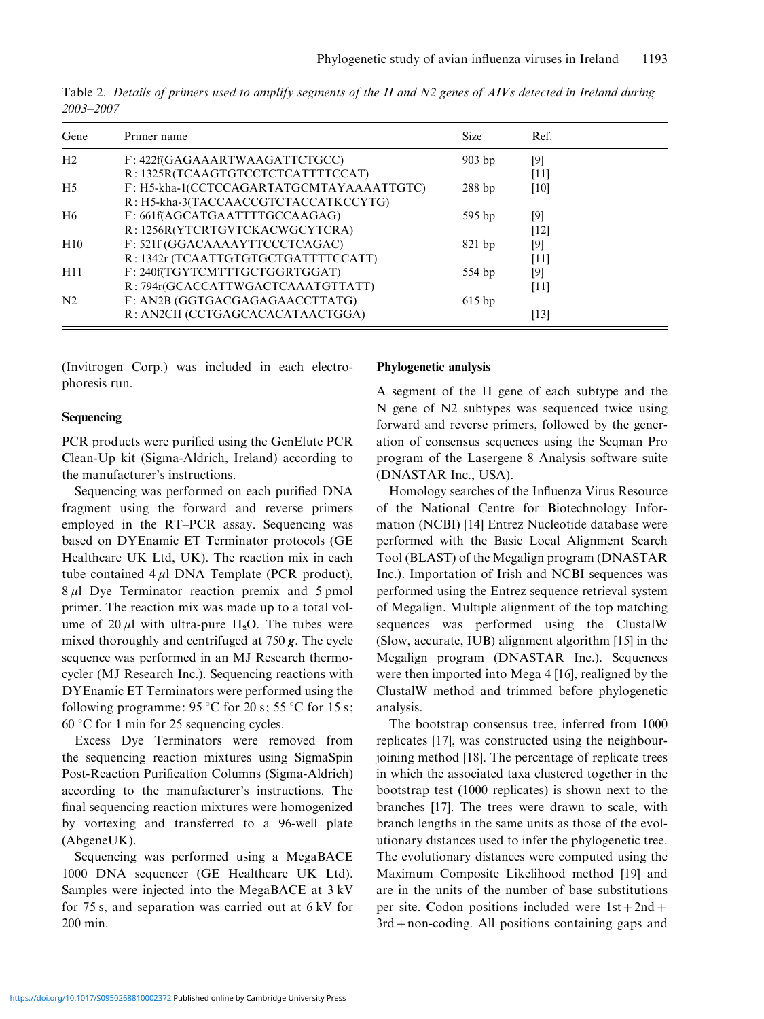Table 2. Details of primers used to amplify segments of the H and N2 genes of AIVs detected in Ireland during 2003–2007

| Gene            | Primer name                              | <b>Size</b> | Ref.   |
|-----------------|------------------------------------------|-------------|--------|
| H <sub>2</sub>  | F: 422f(GAGAAARTWAAGATTCTGCC)            | $903$ bp    | $[9]$  |
|                 | R: 1325R(TCAAGTGTCCTCTCATTTTCCAT)        |             | [11]   |
| H <sub>5</sub>  | F: H5-kha-1(CCTCCAGARTATGCMTAYAAAATTGTC) | 288bp       | [10]   |
|                 | R: H5-kha-3(TACCAACCGTCTACCATKCCYTG)     |             |        |
| H6              | F: 661f(AGCATGAATTTTGCCAAGAG)            | $595$ bp    | $[9]$  |
|                 | R: 1256R(YTCRTGVTCKACWGCYTCRA)           |             | [12]   |
| H10             | F: 521f (GGACAAAAYTTCCCTCAGAC)           | $821$ bp    | [9]    |
|                 | R: 1342r (TCAATTGTGTGCTGATTTTCCATT)      |             | [11]   |
| H <sub>11</sub> | F: 240f(TGYTCMTTTGCTGGRTGGAT)            | 554 bp      | [9]    |
|                 | R: 794r(GCACCATTWGACTCAAATGTTATT)        |             | [11]   |
| N <sub>2</sub>  | F: AN2B (GGTGACGAGAGAACCTTATG)           | $615$ bp    |        |
|                 | R: AN2CII (CCTGAGCACACATAACTGGA)         |             | $[13]$ |

(Invitrogen Corp.) was included in each electrophoresis run.

## Sequencing

PCR products were purified using the GenElute PCR Clean-Up kit (Sigma-Aldrich, Ireland) according to the manufacturer's instructions.

Sequencing was performed on each purified DNA fragment using the forward and reverse primers employed in the RT–PCR assay. Sequencing was based on DYEnamic ET Terminator protocols (GE Healthcare UK Ltd, UK). The reaction mix in each tube contained  $4 \mu$ l DNA Template (PCR product),  $8 \mu$ l Dye Terminator reaction premix and 5 pmol primer. The reaction mix was made up to a total volume of 20  $\mu$ l with ultra-pure H<sub>2</sub>O. The tubes were mixed thoroughly and centrifuged at  $750 g$ . The cycle sequence was performed in an MJ Research thermocycler (MJ Research Inc.). Sequencing reactions with DYEnamic ET Terminators were performed using the following programme:  $95^{\circ}$ C for  $20$  s;  $55^{\circ}$ C for  $15$  s; 60  $\degree$ C for 1 min for 25 sequencing cycles.

Excess Dye Terminators were removed from the sequencing reaction mixtures using SigmaSpin Post-Reaction Purification Columns (Sigma-Aldrich) according to the manufacturer's instructions. The final sequencing reaction mixtures were homogenized by vortexing and transferred to a 96-well plate (AbgeneUK).

Sequencing was performed using a MegaBACE 1000 DNA sequencer (GE Healthcare UK Ltd). Samples were injected into the MegaBACE at 3 kV for 75 s, and separation was carried out at 6 kV for 200 min.

#### Phylogenetic analysis

A segment of the H gene of each subtype and the N gene of N2 subtypes was sequenced twice using forward and reverse primers, followed by the generation of consensus sequences using the Seqman Pro program of the Lasergene 8 Analysis software suite (DNASTAR Inc., USA).

Homology searches of the Influenza Virus Resource of the National Centre for Biotechnology Information (NCBI) [14] Entrez Nucleotide database were performed with the Basic Local Alignment Search Tool (BLAST) of the Megalign program (DNASTAR Inc.). Importation of Irish and NCBI sequences was performed using the Entrez sequence retrieval system of Megalign. Multiple alignment of the top matching sequences was performed using the ClustalW (Slow, accurate, IUB) alignment algorithm [15] in the Megalign program (DNASTAR Inc.). Sequences were then imported into Mega 4 [16], realigned by the ClustalW method and trimmed before phylogenetic analysis.

The bootstrap consensus tree, inferred from 1000 replicates [17], was constructed using the neighbourjoining method [18]. The percentage of replicate trees in which the associated taxa clustered together in the bootstrap test (1000 replicates) is shown next to the branches [17]. The trees were drawn to scale, with branch lengths in the same units as those of the evolutionary distances used to infer the phylogenetic tree. The evolutionary distances were computed using the Maximum Composite Likelihood method [19] and are in the units of the number of base substitutions per site. Codon positions included were  $1st + 2nd +$ 3rd+non-coding. All positions containing gaps and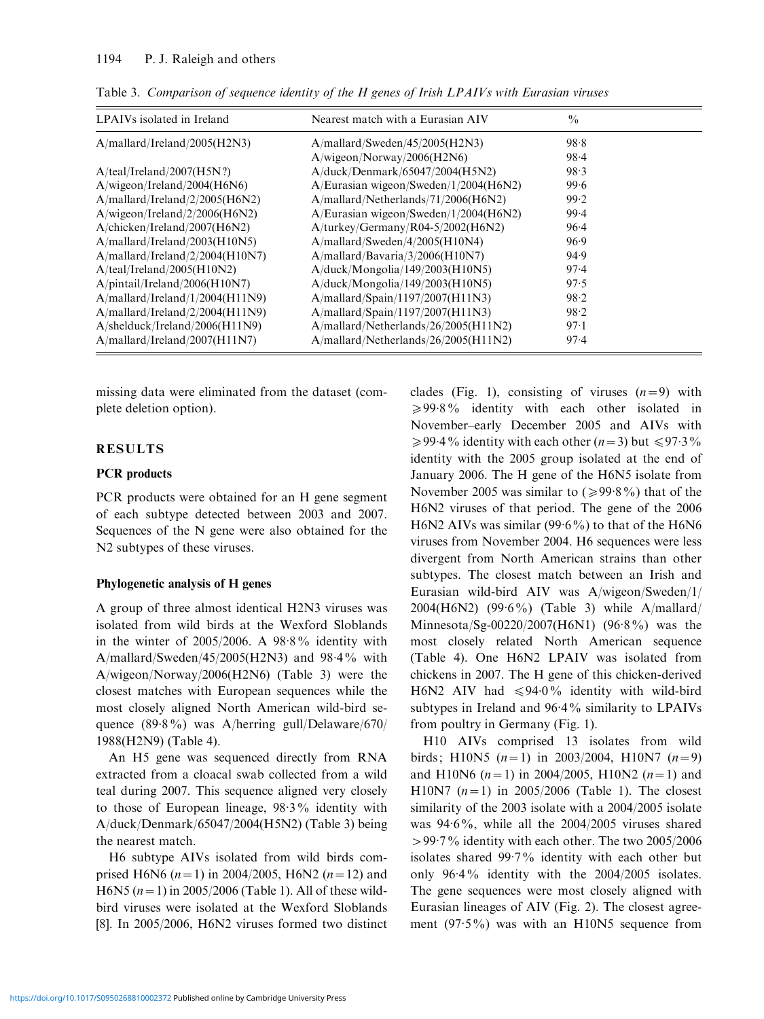| LPAIVs isolated in Ireland         | Nearest match with a Eurasian AIV     | $\frac{0}{0}$ |
|------------------------------------|---------------------------------------|---------------|
| $A/mallard/I$ reland/2005(H2N3)    | A/mallard/Sweden/45/2005(H2N3)        | 98.8          |
|                                    | A/wigeon/Norway/2006(H2N6)            | $98 - 4$      |
| A/teal/Ireland/2007(H5N?)          | A/duck/Denmark/65047/2004(H5N2)       | 98.3          |
| A/wigeon/Ireland/2004(H6N6)        | A/Eurasian wigeon/Sweden/1/2004(H6N2) | 99.6          |
| $A/mallard/I$ reland/2/2005(H6N2)  | A/mallard/Netherlands/71/2006(H6N2)   | 99.2          |
| A/wigeon/Ireland/2/2006(H6N2)      | A/Eurasian wigeon/Sweden/1/2004(H6N2) | 99.4          |
| A/chicken/Ireland/2007(H6N2)       | $A/turkey/Germany/R04-5/2002(H6N2)$   | 96.4          |
| A/mallard/Ireland/2003(H10N5)      | A/mallard/Sweden/4/2005(H10N4)        | 96.9          |
| $A/mallard/I$ reland/2/2004(H10N7) | A/mallard/Bavaria/3/2006(H10N7)       | 94.9          |
| A/teal/Ireland/2005(H10N2)         | A/duck/Mongolia/149/2003(H10N5)       | 97.4          |
| $A$ /pintail/Ireland/2006(H10N7)   | A/duck/Mongolia/149/2003(H10N5)       | 97.5          |
| A/mallard/Ireland/1/2004(H11N9)    | A/mallard/Spain/1197/2007(H11N3)      | 98.2          |
| $A/mallard/I$ reland/2/2004(H11N9) | A/mallard/Spain/1197/2007(H11N3)      | 98.2          |
| $A/s$ helduck/Ireland/2006(H11N9)  | A/mallard/Nethermalsd/26/2005(H11N2)  | 97.1          |
| A/mallard/Ireland/2007(H11N7)      | A/mallard/Nethermalsd/26/2005(H11N2)  | 97.4          |

Table 3. Comparison of sequence identity of the H genes of Irish LPAIVs with Eurasian viruses

missing data were eliminated from the dataset (complete deletion option).

## RESULTS

## PCR products

PCR products were obtained for an H gene segment of each subtype detected between 2003 and 2007. Sequences of the N gene were also obtained for the N2 subtypes of these viruses.

#### Phylogenetic analysis of H genes

A group of three almost identical H2N3 viruses was isolated from wild birds at the Wexford Sloblands in the winter of  $2005/2006$ . A  $98.8\%$  identity with A/mallard/Sweden/45/2005(H2N3) and  $98.4\%$  with A/wigeon/Norway/2006(H2N6) (Table 3) were the closest matches with European sequences while the most closely aligned North American wild-bird sequence (89. 8%) was A/herring gull/Delaware/670/ 1988(H2N9) (Table 4).

An H5 gene was sequenced directly from RNA extracted from a cloacal swab collected from a wild teal during 2007. This sequence aligned very closely to those of European lineage, 98. 3% identity with A/duck/Denmark/65047/2004(H5N2) (Table 3) being the nearest match.

H6 subtype AIVs isolated from wild birds comprised H6N6 ( $n=1$ ) in 2004/2005, H6N2 ( $n=12$ ) and H6N5 ( $n=1$ ) in 2005/2006 (Table 1). All of these wildbird viruses were isolated at the Wexford Sloblands [8]. In 2005/2006, H6N2 viruses formed two distinct

clades (Fig. 1), consisting of viruses  $(n=9)$  with ≥99.8% identity with each other isolated in November–early December 2005 and AIVs with  $\geq$ 99.4% identity with each other (n=3) but  $\leq$ 97.3% identity with the 2005 group isolated at the end of January 2006. The H gene of the H6N5 isolate from November 2005 was similar to  $(\geq 99.8\%)$  that of the H6N2 viruses of that period. The gene of the 2006 H6N2 AIVs was similar  $(99.6\%)$  to that of the H6N6 viruses from November 2004. H6 sequences were less divergent from North American strains than other subtypes. The closest match between an Irish and Eurasian wild-bird AIV was A/wigeon/Sweden/1/ 2004(H6N2) (99. 6%) (Table 3) while A/mallard/ Minnesota/Sg-00220/2007(H6N1) (96. 8%) was the most closely related North American sequence (Table 4). One H6N2 LPAIV was isolated from chickens in 2007. The H gene of this chicken-derived H6N2 AIV had  $\leq 94.0\%$  identity with wild-bird subtypes in Ireland and 96.4% similarity to LPAIVs from poultry in Germany (Fig. 1).

H10 AIVs comprised 13 isolates from wild birds; H10N5  $(n=1)$  in 2003/2004, H10N7  $(n=9)$ and H10N6 ( $n=1$ ) in 2004/2005, H10N2 ( $n=1$ ) and H10N7  $(n=1)$  in 2005/2006 (Table 1). The closest similarity of the 2003 isolate with a 2004/2005 isolate was 94. 6%, while all the 2004/2005 viruses shared >99. 7% identity with each other. The two 2005/2006 isolates shared 99. 7% identity with each other but only 96. 4% identity with the 2004/2005 isolates. The gene sequences were most closely aligned with Eurasian lineages of AIV (Fig. 2). The closest agreement (97. 5%) was with an H10N5 sequence from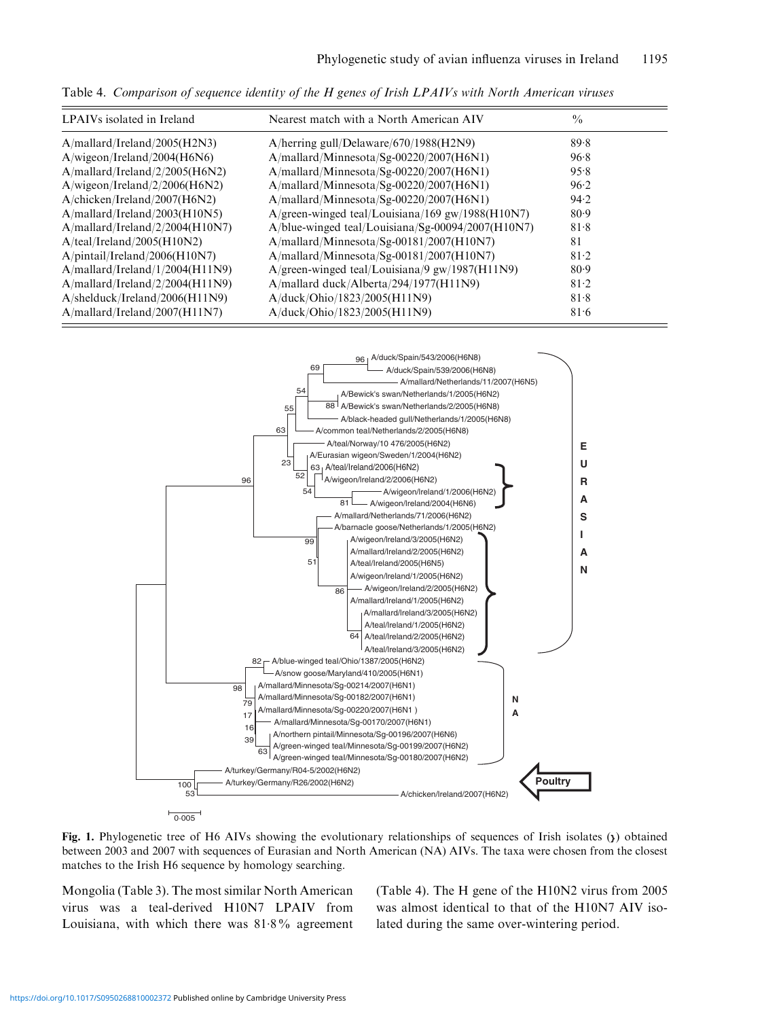Table 4. Comparison of sequence identity of the H genes of Irish LPAIVs with North American viruses

| LPAIVs isolated in Ireland            | Nearest match with a North American AIV                  | $\frac{0}{0}$ |
|---------------------------------------|----------------------------------------------------------|---------------|
| A/mallard/Ireland/2005(H2N3)          | A/herring gull/Delaware/670/1988(H2N9)                   | 89.8          |
| A/wigeon/Ireland/2004(H6N6)           | $A/mallard/Minnesota/Sg-00220/2007(H6N1)$                | 96.8          |
| A/mallard/Ireland/2/2005(H6N2)        | A/mallard/Minnesota/Sg-00220/2007(H6N1)                  | 95.8          |
| A/wigeon/Ireland/2/2006(H6N2)         | $A/mallard/Minnesota/Sg-00220/2007(H6N1)$                | 96.2          |
| $A/$ chicken/Ireland/2007(H6N2)       | A/mallard/Minnesota/Sg-00220/2007(H6N1)                  | 94.2          |
| A/mallard/Ireland/2003(H10N5)         | A/green-winged teal/Louisiana/169 gw/1988(H10N7)         | 80.9          |
| A/mallard/Ireland/2/2004(H10N7)       | A/blue-winged teal/Louisiana/Sg-00094/2007(H10N7)        | 81.8          |
| A/teal/Ireland/2005(H10N2)            | $A/mallard/Minnesota/Sg-00181/2007(H10N7)$               | 81            |
| $A$ /pintail/Ireland/2006(H10N7)      | A/mallard/Minnesota/Sg-00181/2007(H10N7)                 | 81.2          |
| $A/mallard/I$ reland/ $1/2004(H11N9)$ | A/green-winged teal/Louisiana/9 $\text{gw}/1987$ (H11N9) | 80.9          |
| A/mallard/Ireland/2/2004(H11N9)       | A/mallard duck/Alberta/294/1977(H11N9)                   | 81.2          |
| $A/s$ helduck/Ireland/2006(H11N9)     | A/duck/Ohio/1823/2005(H11N9)                             | 81.8          |
| A/mallard/Ireland/2007(H11N7)         | A/duck/Ohio/1823/2005(H11N9)                             | 81.6          |



Fig. 1. Phylogenetic tree of H6 AIVs showing the evolutionary relationships of sequences of Irish isolates ( $\chi$ ) obtained between 2003 and 2007 with sequences of Eurasian and North American (NA) AIVs. The taxa were chosen from the closest matches to the Irish H6 sequence by homology searching.

Mongolia (Table 3). The most similar North American virus was a teal-derived H10N7 LPAIV from Louisiana, with which there was 81.8% agreement

(Table 4). The H gene of the H10N2 virus from 2005 was almost identical to that of the H10N7 AIV isolated during the same over-wintering period.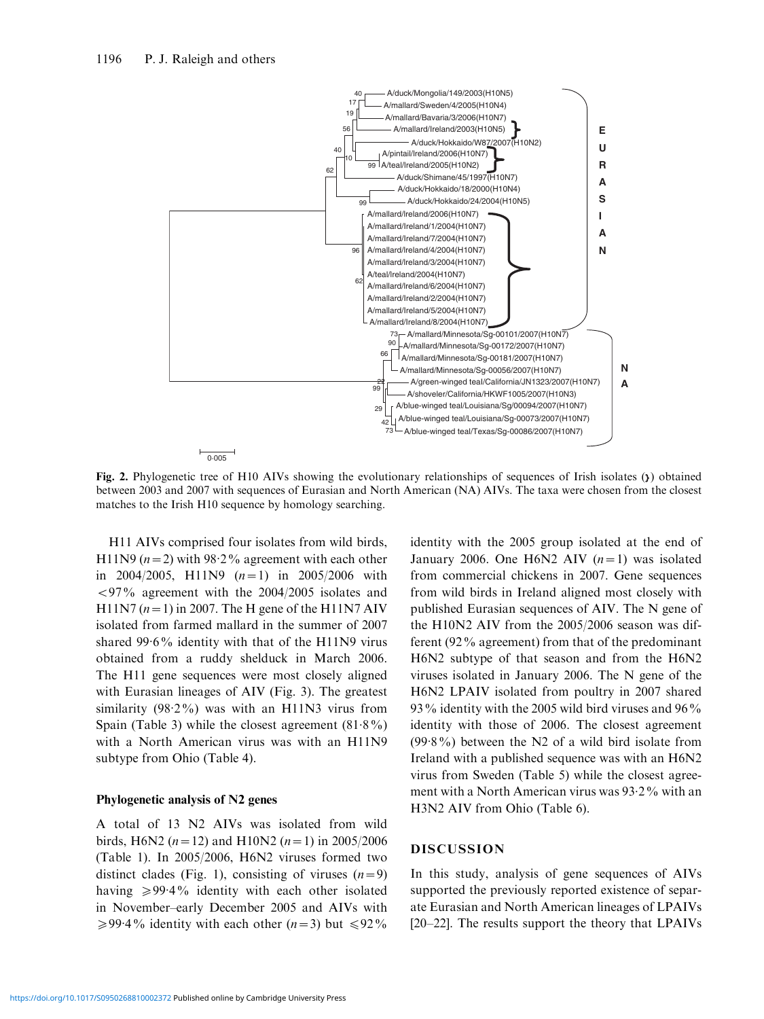

Fig. 2. Phylogenetic tree of H10 AIVs showing the evolutionary relationships of sequences of Irish isolates (y) obtained between 2003 and 2007 with sequences of Eurasian and North American (NA) AIVs. The taxa were chosen from the closest matches to the Irish H10 sequence by homology searching.

H11 AIVs comprised four isolates from wild birds, H11N9 ( $n = 2$ ) with 98.2% agreement with each other in 2004/2005, H11N9  $(n=1)$  in 2005/2006 with  $\langle 97\%$  agreement with the 2004/2005 isolates and H11N7  $(n=1)$  in 2007. The H gene of the H11N7 AIV isolated from farmed mallard in the summer of 2007 shared 99. 6% identity with that of the H11N9 virus obtained from a ruddy shelduck in March 2006. The H11 gene sequences were most closely aligned with Eurasian lineages of AIV (Fig. 3). The greatest similarity (98.2%) was with an H11N3 virus from Spain (Table 3) while the closest agreement  $(81.8\%)$ with a North American virus was with an H11N9 subtype from Ohio (Table 4).

#### Phylogenetic analysis of N2 genes

A total of 13 N2 AIVs was isolated from wild birds, H6N2 ( $n=12$ ) and H10N2 ( $n=1$ ) in 2005/2006 (Table 1). In 2005/2006, H6N2 viruses formed two distinct clades (Fig. 1), consisting of viruses  $(n=9)$ having  $\geqslant$ 99.4% identity with each other isolated in November–early December 2005 and AIVs with  $\geq$ 99.4% identity with each other (n=3) but  $\leq$ 92%

identity with the 2005 group isolated at the end of January 2006. One H6N2 AIV  $(n=1)$  was isolated from commercial chickens in 2007. Gene sequences from wild birds in Ireland aligned most closely with published Eurasian sequences of AIV. The N gene of the H10N2 AIV from the 2005/2006 season was different (92% agreement) from that of the predominant H6N2 subtype of that season and from the H6N2 viruses isolated in January 2006. The N gene of the H6N2 LPAIV isolated from poultry in 2007 shared 93% identity with the 2005 wild bird viruses and 96% identity with those of 2006. The closest agreement (99. 8%) between the N2 of a wild bird isolate from Ireland with a published sequence was with an H6N2 virus from Sweden (Table 5) while the closest agreement with a North American virus was 93. 2% with an H3N2 AIV from Ohio (Table 6).

#### DISCUSSION

In this study, analysis of gene sequences of AIVs supported the previously reported existence of separate Eurasian and North American lineages of LPAIVs [20–22]. The results support the theory that LPAIVs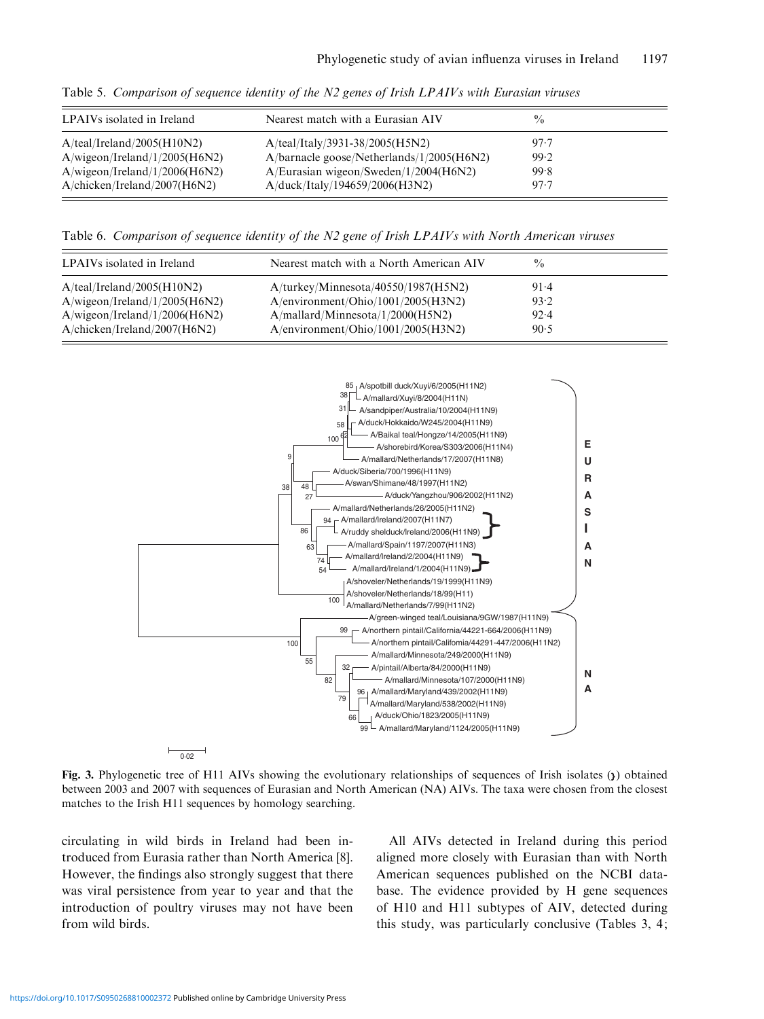| Nearest match with a Eurasian AIV            | $\frac{0}{0}$ |  |
|----------------------------------------------|---------------|--|
| $A/teal/Italy/3931-38/2005(H5N2)$            | 97.7          |  |
| $A/barnacle\ goose/Netherlands/1/2005(H6N2)$ | 99.2          |  |
| A/Eurasian wigeon/Sweden/1/2004(H6N2)        | 99.8          |  |
| A/duck/Italy/194659/2006(H3N2)               | 97.7          |  |
|                                              |               |  |

Table 5. Comparison of sequence identity of the N2 genes of Irish LPAIVs with Eurasian viruses

Table 6. Comparison of sequence identity of the N2 gene of Irish LPAIVs with North American viruses

| LPAIVs isolated in Ireland      | Nearest match with a North American AIV | $\frac{0}{0}$ |  |
|---------------------------------|-----------------------------------------|---------------|--|
| A/teal/Ireland/2005(H10N2)      | A/turkey/Minnesota/40550/1987(H5N2)     | $91-4$        |  |
| A/wigeon/Ireland/1/2005(H6N2)   | A/environment/Ohio/1001/2005(H3N2)      | 93.2          |  |
| A/wigeon/Ireland/1/2006(H6N2)   | A/mallard/Minnesota/1/2000(H5N2)        | 92.4          |  |
| $A/$ chicken/Ireland/2007(H6N2) | A/environment/Ohio/1001/2005(H3N2)      | 90.5          |  |



Fig. 3. Phylogenetic tree of H11 AIVs showing the evolutionary relationships of sequences of Irish isolates ( $\chi$ ) obtained between 2003 and 2007 with sequences of Eurasian and North American (NA) AIVs. The taxa were chosen from the closest matches to the Irish H11 sequences by homology searching.

circulating in wild birds in Ireland had been introduced from Eurasia rather than North America [8]. However, the findings also strongly suggest that there was viral persistence from year to year and that the introduction of poultry viruses may not have been from wild birds.

All AIVs detected in Ireland during this period aligned more closely with Eurasian than with North American sequences published on the NCBI database. The evidence provided by H gene sequences of H10 and H11 subtypes of AIV, detected during this study, was particularly conclusive (Tables 3, 4;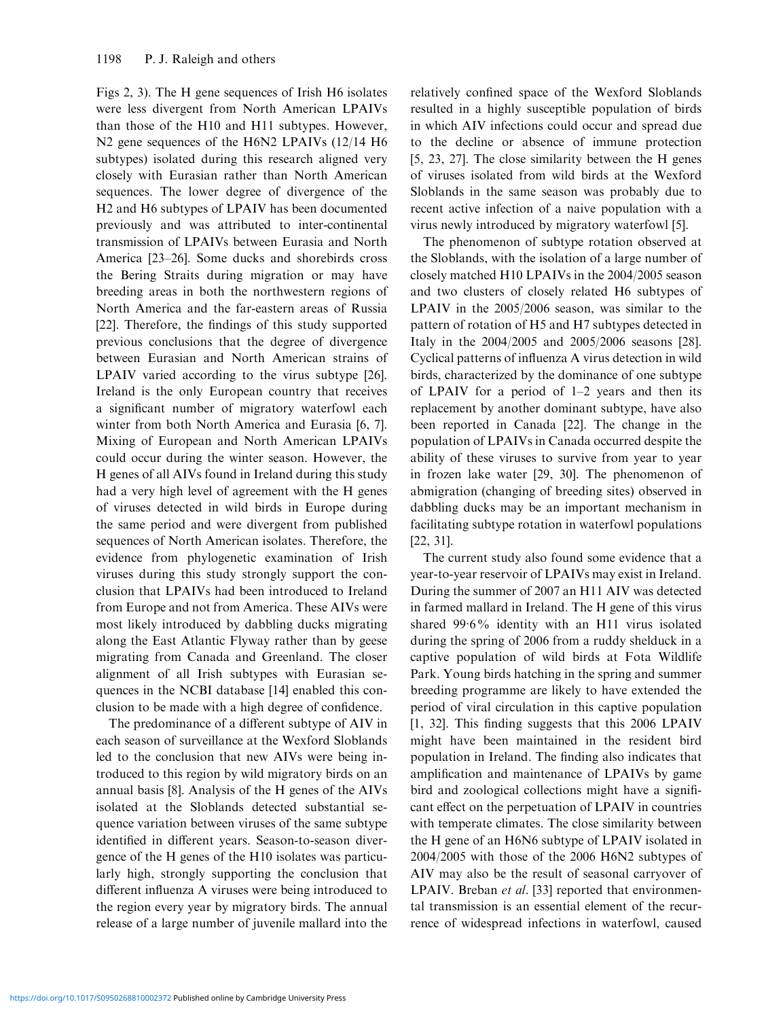Figs 2, 3). The H gene sequences of Irish H6 isolates were less divergent from North American LPAIVs than those of the H10 and H11 subtypes. However, N2 gene sequences of the H6N2 LPAIVs (12/14 H6 subtypes) isolated during this research aligned very closely with Eurasian rather than North American sequences. The lower degree of divergence of the H2 and H6 subtypes of LPAIV has been documented previously and was attributed to inter-continental transmission of LPAIVs between Eurasia and North America [23–26]. Some ducks and shorebirds cross the Bering Straits during migration or may have breeding areas in both the northwestern regions of North America and the far-eastern areas of Russia [22]. Therefore, the findings of this study supported previous conclusions that the degree of divergence between Eurasian and North American strains of LPAIV varied according to the virus subtype [26]. Ireland is the only European country that receives a significant number of migratory waterfowl each winter from both North America and Eurasia [6, 7]. Mixing of European and North American LPAIVs could occur during the winter season. However, the H genes of all AIVs found in Ireland during this study had a very high level of agreement with the H genes of viruses detected in wild birds in Europe during the same period and were divergent from published sequences of North American isolates. Therefore, the evidence from phylogenetic examination of Irish viruses during this study strongly support the conclusion that LPAIVs had been introduced to Ireland from Europe and not from America. These AIVs were most likely introduced by dabbling ducks migrating along the East Atlantic Flyway rather than by geese migrating from Canada and Greenland. The closer alignment of all Irish subtypes with Eurasian sequences in the NCBI database [14] enabled this conclusion to be made with a high degree of confidence.

The predominance of a different subtype of AIV in each season of surveillance at the Wexford Sloblands led to the conclusion that new AIVs were being introduced to this region by wild migratory birds on an annual basis [8]. Analysis of the H genes of the AIVs isolated at the Sloblands detected substantial sequence variation between viruses of the same subtype identified in different years. Season-to-season divergence of the H genes of the H10 isolates was particularly high, strongly supporting the conclusion that different influenza A viruses were being introduced to the region every year by migratory birds. The annual release of a large number of juvenile mallard into the relatively confined space of the Wexford Sloblands resulted in a highly susceptible population of birds in which AIV infections could occur and spread due to the decline or absence of immune protection [5, 23, 27]. The close similarity between the H genes of viruses isolated from wild birds at the Wexford Sloblands in the same season was probably due to recent active infection of a naive population with a virus newly introduced by migratory waterfowl [5].

The phenomenon of subtype rotation observed at the Sloblands, with the isolation of a large number of closely matched H10 LPAIVs in the 2004/2005 season and two clusters of closely related H6 subtypes of LPAIV in the 2005/2006 season, was similar to the pattern of rotation of H5 and H7 subtypes detected in Italy in the 2004/2005 and 2005/2006 seasons [28]. Cyclical patterns of influenza A virus detection in wild birds, characterized by the dominance of one subtype of LPAIV for a period of 1–2 years and then its replacement by another dominant subtype, have also been reported in Canada [22]. The change in the population of LPAIVs in Canada occurred despite the ability of these viruses to survive from year to year in frozen lake water [29, 30]. The phenomenon of abmigration (changing of breeding sites) observed in dabbling ducks may be an important mechanism in facilitating subtype rotation in waterfowl populations [22, 31].

The current study also found some evidence that a year-to-year reservoir of LPAIVs may exist in Ireland. During the summer of 2007 an H11 AIV was detected in farmed mallard in Ireland. The H gene of this virus shared 99. 6% identity with an H11 virus isolated during the spring of 2006 from a ruddy shelduck in a captive population of wild birds at Fota Wildlife Park. Young birds hatching in the spring and summer breeding programme are likely to have extended the period of viral circulation in this captive population [1, 32]. This finding suggests that this 2006 LPAIV might have been maintained in the resident bird population in Ireland. The finding also indicates that amplification and maintenance of LPAIVs by game bird and zoological collections might have a significant effect on the perpetuation of LPAIV in countries with temperate climates. The close similarity between the H gene of an H6N6 subtype of LPAIV isolated in 2004/2005 with those of the 2006 H6N2 subtypes of AIV may also be the result of seasonal carryover of LPAIV. Breban et al. [33] reported that environmental transmission is an essential element of the recurrence of widespread infections in waterfowl, caused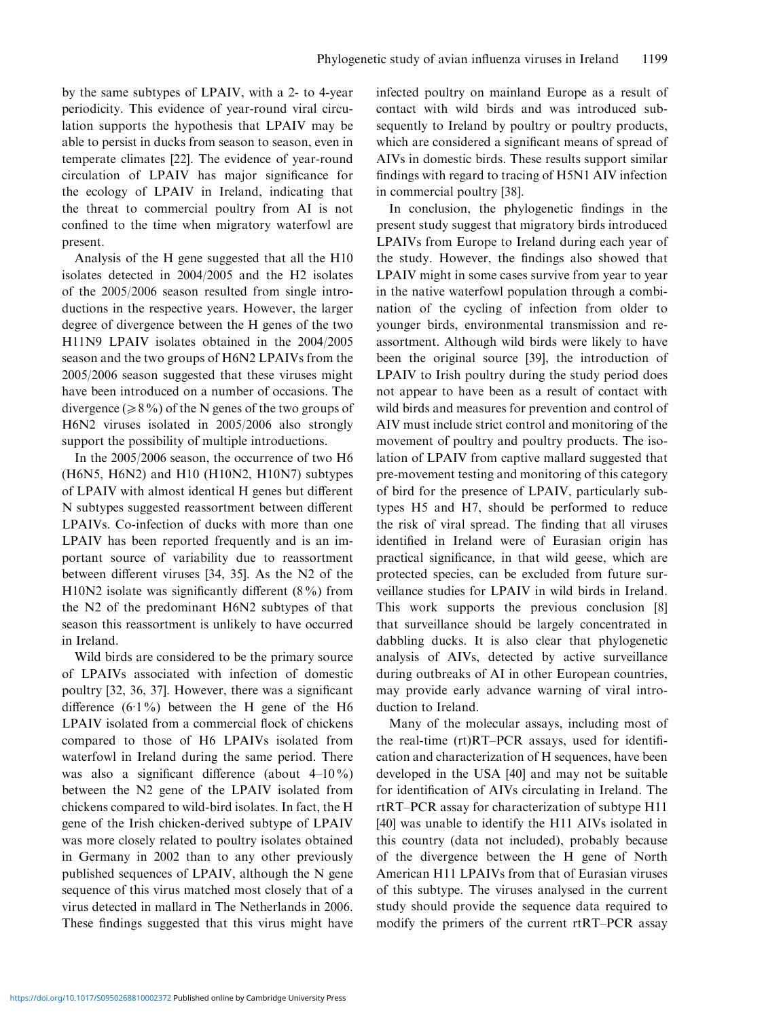by the same subtypes of LPAIV, with a 2- to 4-year periodicity. This evidence of year-round viral circulation supports the hypothesis that LPAIV may be able to persist in ducks from season to season, even in temperate climates [22]. The evidence of year-round circulation of LPAIV has major significance for the ecology of LPAIV in Ireland, indicating that the threat to commercial poultry from AI is not confined to the time when migratory waterfowl are present.

Analysis of the H gene suggested that all the H10 isolates detected in 2004/2005 and the H2 isolates of the 2005/2006 season resulted from single introductions in the respective years. However, the larger degree of divergence between the H genes of the two H11N9 LPAIV isolates obtained in the 2004/2005 season and the two groups of H6N2 LPAIVs from the 2005/2006 season suggested that these viruses might have been introduced on a number of occasions. The divergence ( $\geq 8\%$ ) of the N genes of the two groups of H6N2 viruses isolated in 2005/2006 also strongly support the possibility of multiple introductions.

In the 2005/2006 season, the occurrence of two H6 (H6N5, H6N2) and H10 (H10N2, H10N7) subtypes of LPAIV with almost identical H genes but different N subtypes suggested reassortment between different LPAIVs. Co-infection of ducks with more than one LPAIV has been reported frequently and is an important source of variability due to reassortment between different viruses [34, 35]. As the N2 of the H10N2 isolate was significantly different  $(8\%)$  from the N2 of the predominant H6N2 subtypes of that season this reassortment is unlikely to have occurred in Ireland.

Wild birds are considered to be the primary source of LPAIVs associated with infection of domestic poultry [32, 36, 37]. However, there was a significant difference  $(6.1\%)$  between the H gene of the H6 LPAIV isolated from a commercial flock of chickens compared to those of H6 LPAIVs isolated from waterfowl in Ireland during the same period. There was also a significant difference (about 4–10%) between the N2 gene of the LPAIV isolated from chickens compared to wild-bird isolates. In fact, the H gene of the Irish chicken-derived subtype of LPAIV was more closely related to poultry isolates obtained in Germany in 2002 than to any other previously published sequences of LPAIV, although the N gene sequence of this virus matched most closely that of a virus detected in mallard in The Netherlands in 2006. These findings suggested that this virus might have

infected poultry on mainland Europe as a result of contact with wild birds and was introduced subsequently to Ireland by poultry or poultry products, which are considered a significant means of spread of AIVs in domestic birds. These results support similar findings with regard to tracing of H5N1 AIV infection in commercial poultry [38].

In conclusion, the phylogenetic findings in the present study suggest that migratory birds introduced LPAIVs from Europe to Ireland during each year of the study. However, the findings also showed that LPAIV might in some cases survive from year to year in the native waterfowl population through a combination of the cycling of infection from older to younger birds, environmental transmission and reassortment. Although wild birds were likely to have been the original source [39], the introduction of LPAIV to Irish poultry during the study period does not appear to have been as a result of contact with wild birds and measures for prevention and control of AIV must include strict control and monitoring of the movement of poultry and poultry products. The isolation of LPAIV from captive mallard suggested that pre-movement testing and monitoring of this category of bird for the presence of LPAIV, particularly subtypes H5 and H7, should be performed to reduce the risk of viral spread. The finding that all viruses identified in Ireland were of Eurasian origin has practical significance, in that wild geese, which are protected species, can be excluded from future surveillance studies for LPAIV in wild birds in Ireland. This work supports the previous conclusion [8] that surveillance should be largely concentrated in dabbling ducks. It is also clear that phylogenetic analysis of AIVs, detected by active surveillance during outbreaks of AI in other European countries, may provide early advance warning of viral introduction to Ireland.

Many of the molecular assays, including most of the real-time (rt)RT–PCR assays, used for identification and characterization of H sequences, have been developed in the USA [40] and may not be suitable for identification of AIVs circulating in Ireland. The rtRT–PCR assay for characterization of subtype H11 [40] was unable to identify the H11 AIVs isolated in this country (data not included), probably because of the divergence between the H gene of North American H11 LPAIVs from that of Eurasian viruses of this subtype. The viruses analysed in the current study should provide the sequence data required to modify the primers of the current rtRT–PCR assay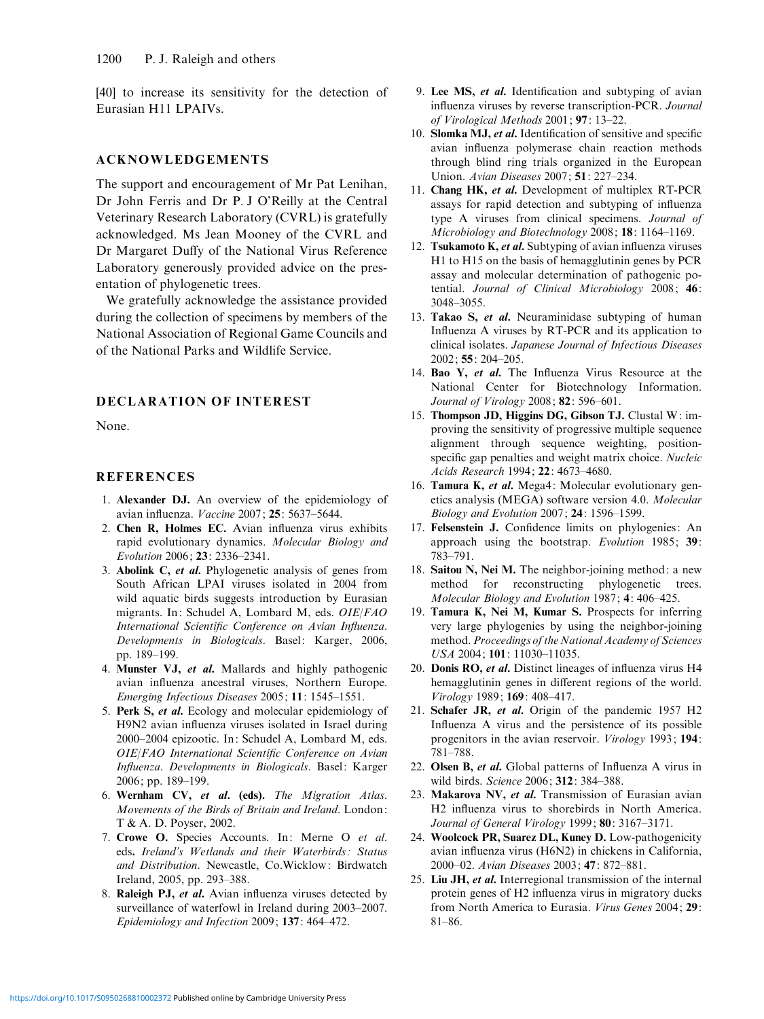[40] to increase its sensitivity for the detection of Eurasian H11 LPAIVs.

## ACKNOWLEDGEMENTS

The support and encouragement of Mr Pat Lenihan, Dr John Ferris and Dr P. J O'Reilly at the Central Veterinary Research Laboratory (CVRL) is gratefully acknowledged. Ms Jean Mooney of the CVRL and Dr Margaret Duffy of the National Virus Reference Laboratory generously provided advice on the presentation of phylogenetic trees.

We gratefully acknowledge the assistance provided during the collection of specimens by members of the National Association of Regional Game Councils and of the National Parks and Wildlife Service.

### DECLARATION OF INTEREST

None.

## **REFERENCES**

- 1. Alexander DJ. An overview of the epidemiology of avian influenza. Vaccine 2007; 25: 5637–5644.
- 2. Chen R, Holmes EC. Avian influenza virus exhibits rapid evolutionary dynamics. Molecular Biology and Evolution 2006; 23: 2336–2341.
- 3. Abolink C, et al. Phylogenetic analysis of genes from South African LPAI viruses isolated in 2004 from wild aquatic birds suggests introduction by Eurasian migrants. In: Schudel A, Lombard M, eds. OIE/FAO International Scientific Conference on Avian Influenza. Developments in Biologicals. Basel: Karger, 2006, pp. 189–199.
- 4. Munster VJ, et al. Mallards and highly pathogenic avian influenza ancestral viruses, Northern Europe. Emerging Infectious Diseases 2005; 11: 1545–1551.
- 5. Perk S, et al. Ecology and molecular epidemiology of H9N2 avian influenza viruses isolated in Israel during 2000–2004 epizootic. In: Schudel A, Lombard M, eds. OIE/FAO International Scientific Conference on Avian Influenza. Developments in Biologicals. Basel: Karger 2006; pp. 189–199.
- 6. Wernham CV, et al. (eds). The Migration Atlas. Movements of the Birds of Britain and Ireland. London: T & A. D. Poyser, 2002.
- 7. Crowe O. Species Accounts. In: Merne O et al. eds. Ireland's Wetlands and their Waterbirds: Status and Distribution. Newcastle, Co.Wicklow: Birdwatch Ireland, 2005, pp. 293–388.
- 8. Raleigh PJ, et al. Avian influenza viruses detected by surveillance of waterfowl in Ireland during 2003–2007. Epidemiology and Infection 2009; 137: 464–472.
- 9. Lee MS, et al. Identification and subtyping of avian influenza viruses by reverse transcription-PCR. Journal of Virological Methods 2001; 97: 13–22.
- 10. Slomka MJ, et al. Identification of sensitive and specific avian influenza polymerase chain reaction methods through blind ring trials organized in the European Union. Avian Diseases 2007; 51: 227–234.
- 11. Chang HK, et al. Development of multiplex RT-PCR assays for rapid detection and subtyping of influenza type A viruses from clinical specimens. Journal of Microbiology and Biotechnology 2008; 18: 1164–1169.
- 12. Tsukamoto K, et al. Subtyping of avian influenza viruses H1 to H15 on the basis of hemagglutinin genes by PCR assay and molecular determination of pathogenic potential. Journal of Clinical Microbiology 2008; 46: 3048–3055.
- 13. Takao S, et al. Neuraminidase subtyping of human Influenza A viruses by RT-PCR and its application to clinical isolates. Japanese Journal of Infectious Diseases 2002; 55: 204–205.
- 14. Bao Y, et al. The Influenza Virus Resource at the National Center for Biotechnology Information. Journal of Virology 2008; 82: 596–601.
- 15. Thompson JD, Higgins DG, Gibson TJ. Clustal W: improving the sensitivity of progressive multiple sequence alignment through sequence weighting, positionspecific gap penalties and weight matrix choice. Nucleic Acids Research 1994; 22: 4673–4680.
- 16. Tamura K, et al. Mega4: Molecular evolutionary genetics analysis (MEGA) software version 4.0. Molecular Biology and Evolution 2007; 24: 1596–1599.
- 17. Felsenstein J. Confidence limits on phylogenies: An approach using the bootstrap. Evolution 1985; 39: 783–791.
- 18. Saitou N, Nei M. The neighbor-joining method: a new method for reconstructing phylogenetic trees. Molecular Biology and Evolution 1987; 4: 406–425.
- 19. Tamura K, Nei M, Kumar S. Prospects for inferring very large phylogenies by using the neighbor-joining method. Proceedings of the National Academy of Sciences USA 2004; 101: 11030–11035.
- 20. Donis RO, et al. Distinct lineages of influenza virus H4 hemagglutinin genes in different regions of the world. Virology 1989; 169: 408–417.
- 21. Schafer JR, et al. Origin of the pandemic 1957 H2 Influenza A virus and the persistence of its possible progenitors in the avian reservoir. Virology 1993; 194: 781–788.
- 22. Olsen B, et al. Global patterns of Influenza A virus in wild birds. Science 2006; 312: 384–388.
- 23. Makarova NV, et al. Transmission of Eurasian avian H2 influenza virus to shorebirds in North America. Journal of General Virology 1999; 80: 3167-3171.
- 24. Woolcock PR, Suarez DL, Kuney D. Low-pathogenicity avian influenza virus (H6N2) in chickens in California, 2000–02. Avian Diseases 2003; 47: 872–881.
- 25. Liu JH, et al. Interregional transmission of the internal protein genes of H2 influenza virus in migratory ducks from North America to Eurasia. Virus Genes 2004; 29: 81–86.